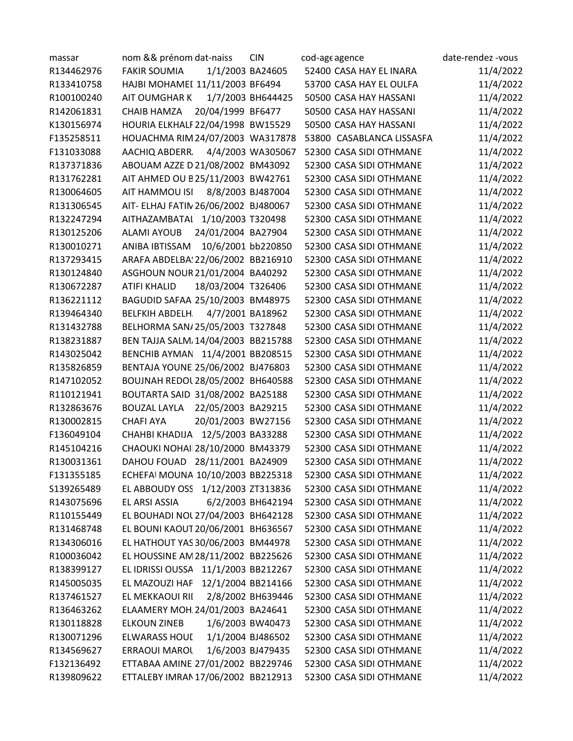| massar     | nom && prénom dat-naiss                   | <b>CIN</b>        | cod-age agence                                     | date-rendez -vous |
|------------|-------------------------------------------|-------------------|----------------------------------------------------|-------------------|
| R134462976 | <b>FAKIR SOUMIA</b><br>1/1/2003 BA24605   |                   | 52400 CASA HAY EL INARA                            | 11/4/2022         |
| R133410758 | HAJBI MOHAMEI 11/11/2003 BF6494           |                   | 53700 CASA HAY EL OULFA                            | 11/4/2022         |
| R100100240 | AIT OUMGHAR KI                            | 1/7/2003 BH644425 | 50500 CASA HAY HASSANI                             | 11/4/2022         |
| R142061831 | 20/04/1999 BF6477<br><b>CHAIB HAMZA</b>   |                   | 50500 CASA HAY HASSANI                             | 11/4/2022         |
| K130156974 | HOURIA ELKHALF 22/04/1998 BW15529         |                   | 50500 CASA HAY HASSANI                             | 11/4/2022         |
| F135258511 | HOUACHMA RIM 24/07/2003 WA317878          |                   | 53800 CASABLANCA LISSASFA                          | 11/4/2022         |
| F131033088 | AACHIQ ABDERR,                            | 4/4/2003 WA305067 | 52300 CASA SIDI OTHMANE                            | 11/4/2022         |
| R137371836 | ABOUAM AZZE D 21/08/2002 BM43092          |                   | 52300 CASA SIDI OTHMANE                            | 11/4/2022         |
| R131762281 | AIT AHMED OU B25/11/2003 BW42761          |                   | 52300 CASA SIDI OTHMANE                            | 11/4/2022         |
| R130064605 | AIT HAMMOU ISI<br>8/8/2003 BJ487004       |                   | 52300 CASA SIDI OTHMANE                            | 11/4/2022         |
| R131306545 | AIT- ELHAJ FATIN 26/06/2002 BJ480067      |                   | 52300 CASA SIDI OTHMANE                            | 11/4/2022         |
| R132247294 | AITHAZAMBATAI 1/10/2003 T320498           |                   | 52300 CASA SIDI OTHMANE                            | 11/4/2022         |
| R130125206 | 24/01/2004 BA27904<br><b>ALAMI AYOUB</b>  |                   | 52300 CASA SIDI OTHMANE                            | 11/4/2022         |
| R130010271 | ANIBA IBTISSAM<br>10/6/2001 bb220850      |                   | 52300 CASA SIDI OTHMANE                            | 11/4/2022         |
| R137293415 | ARAFA ABDELBA: 22/06/2002 BB216910        |                   | 52300 CASA SIDI OTHMANE                            | 11/4/2022         |
| R130124840 | ASGHOUN NOUR 21/01/2004 BA40292           |                   | 52300 CASA SIDI OTHMANE                            | 11/4/2022         |
| R130672287 | ATIFI KHALID<br>18/03/2004 T326406        |                   | 52300 CASA SIDI OTHMANE                            | 11/4/2022         |
| R136221112 | BAGUDID SAFAA 25/10/2003 BM48975          |                   | 52300 CASA SIDI OTHMANE                            | 11/4/2022         |
| R139464340 | BELFKIH ABDELH.<br>4/7/2001 BA18962       |                   | 52300 CASA SIDI OTHMANE                            | 11/4/2022         |
| R131432788 | BELHORMA SAN/25/05/2003 T327848           |                   | 52300 CASA SIDI OTHMANE                            | 11/4/2022         |
| R138231887 | BEN TAJJA SALM, 14/04/2003 BB215788       |                   | 52300 CASA SIDI OTHMANE                            | 11/4/2022         |
| R143025042 | BENCHIB AYMAN 11/4/2001 BB208515          |                   | 52300 CASA SIDI OTHMANE                            | 11/4/2022         |
| R135826859 | BENTAJA YOUNE: 25/06/2002 BJ476803        |                   | 52300 CASA SIDI OTHMANE                            | 11/4/2022         |
| R147102052 | BOUJNAH REDOL 28/05/2002 BH640588         |                   | 52300 CASA SIDI OTHMANE                            | 11/4/2022         |
| R110121941 | BOUTARTA SAID 31/08/2002 BA25188          |                   | 52300 CASA SIDI OTHMANE                            | 11/4/2022         |
| R132863676 | 22/05/2003 BA29215<br><b>BOUZAL LAYLA</b> |                   | 52300 CASA SIDI OTHMANE                            | 11/4/2022         |
| R130002815 | 20/01/2003 BW27156<br><b>CHAFI AYA</b>    |                   | 52300 CASA SIDI OTHMANE                            | 11/4/2022         |
| F136049104 | CHAHBI KHADIJA 12/5/2003 BA33288          |                   | 52300 CASA SIDI OTHMANE                            | 11/4/2022         |
| R145104216 | CHAOUKI NOHAII 28/10/2000 BM43379         |                   | 52300 CASA SIDI OTHMANE                            | 11/4/2022         |
| R130031361 | DAHOU FOUAD 28/11/2001 BA24909            |                   | 52300 CASA SIDI OTHMANE                            | 11/4/2022         |
| F131355185 | ECHEFAI MOUNA 10/10/2003 BB225318         |                   | 52300 CASA SIDI OTHMANE                            | 11/4/2022         |
| S139265489 | EL ABBOUDY OSS 1/12/2003 ZT313836         |                   | 52300 CASA SIDI OTHMANE                            | 11/4/2022         |
| R143075696 | EL ARSI ASSIA                             | 6/2/2003 BH642194 | 52300 CASA SIDI OTHMANE                            | 11/4/2022         |
| R110155449 | EL BOUHADI NOL 27/04/2003 BH642128        |                   | 52300 CASA SIDI OTHMANE                            | 11/4/2022         |
| R131468748 | EL BOUNI KAOUT 20/06/2001 BH636567        |                   | 52300 CASA SIDI OTHMANE                            | 11/4/2022         |
| R134306016 | EL HATHOUT YAS 30/06/2003 BM44978         |                   | 52300 CASA SIDI OTHMANE                            | 11/4/2022         |
| R100036042 | EL HOUSSINE AM 28/11/2002 BB225626        |                   | 52300 CASA SIDI OTHMANE                            | 11/4/2022         |
| R138399127 | EL IDRISSI OUSSA 11/1/2003 BB212267       |                   | 52300 CASA SIDI OTHMANE                            | 11/4/2022         |
| R145005035 | EL MAZOUZI HAF 12/1/2004 BB214166         |                   | 52300 CASA SIDI OTHMANE                            | 11/4/2022         |
| R137461527 | EL MEKKAOUI RII                           | 2/8/2002 BH639446 | 52300 CASA SIDI OTHMANE                            | 11/4/2022         |
| R136463262 | ELAAMERY MOH. 24/01/2003 BA24641          |                   | 52300 CASA SIDI OTHMANE                            | 11/4/2022         |
| R130118828 | <b>ELKOUN ZINEB</b>                       | 1/6/2003 BW40473  | 52300 CASA SIDI OTHMANE                            | 11/4/2022         |
| R130071296 | <b>ELWARASS HOUL</b>                      | 1/1/2004 BJ486502 | 52300 CASA SIDI OTHMANE                            | 11/4/2022         |
| R134569627 | ERRAOUI MAROL                             | 1/6/2003 BJ479435 | 52300 CASA SIDI OTHMANE                            | 11/4/2022         |
| F132136492 | ETTABAA AMINE 27/01/2002 BB229746         |                   | 52300 CASA SIDI OTHMANE<br>52300 CASA SIDI OTHMANE | 11/4/2022         |
| R139809622 | ETTALEBY IMRAN 17/06/2002 BB212913        |                   |                                                    | 11/4/2022         |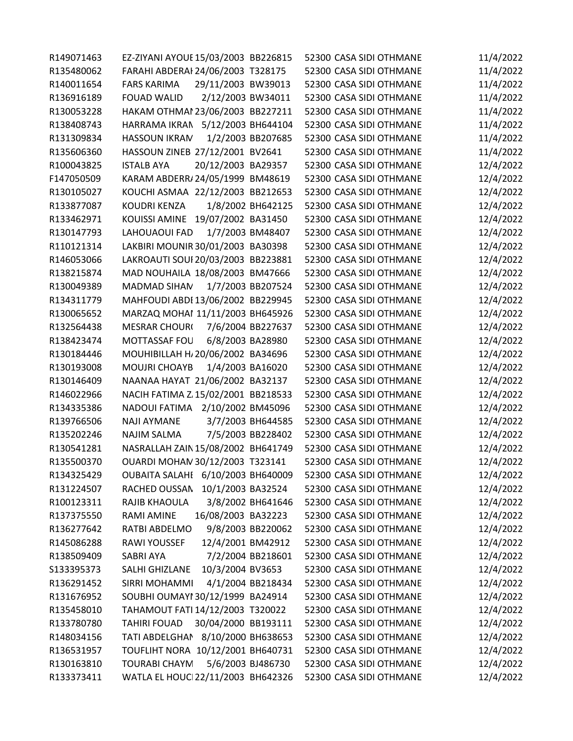| R149071463 | EZ-ZIYANI AYOUE 15/03/2003 BB226815        |                   | 52300 CASA SIDI OTHMANE | 11/4/2022 |
|------------|--------------------------------------------|-------------------|-------------------------|-----------|
| R135480062 | FARAHI ABDERAI 24/06/2003 T328175          |                   | 52300 CASA SIDI OTHMANE | 11/4/2022 |
| R140011654 | 29/11/2003 BW39013<br><b>FARS KARIMA</b>   |                   | 52300 CASA SIDI OTHMANE | 11/4/2022 |
| R136916189 | 2/12/2003 BW34011<br><b>FOUAD WALID</b>    |                   | 52300 CASA SIDI OTHMANE | 11/4/2022 |
| R130053228 | HAKAM OTHMAI 23/06/2003 BB227211           |                   | 52300 CASA SIDI OTHMANE | 11/4/2022 |
| R138408743 | HARRAMA IKRAN 5/12/2003 BH644104           |                   | 52300 CASA SIDI OTHMANE | 11/4/2022 |
| R131309834 | <b>HASSOUN IKRAM</b>                       | 1/2/2003 BB207685 | 52300 CASA SIDI OTHMANE | 11/4/2022 |
| R135606360 | HASSOUN ZINEB 27/12/2001 BV2641            |                   | 52300 CASA SIDI OTHMANE | 11/4/2022 |
| R100043825 | 20/12/2003 BA29357<br><b>ISTALB AYA</b>    |                   | 52300 CASA SIDI OTHMANE | 12/4/2022 |
| F147050509 | KARAM ABDERR/24/05/1999 BM48619            |                   | 52300 CASA SIDI OTHMANE | 12/4/2022 |
| R130105027 | KOUCHI ASMAA 22/12/2003 BB212653           |                   | 52300 CASA SIDI OTHMANE | 12/4/2022 |
| R133877087 | <b>KOUDRI KENZA</b>                        | 1/8/2002 BH642125 | 52300 CASA SIDI OTHMANE | 12/4/2022 |
| R133462971 | KOUISSI AMINE 19/07/2002 BA31450           |                   | 52300 CASA SIDI OTHMANE | 12/4/2022 |
| R130147793 | 1/7/2003 BM48407<br>LAHOUAOUI FAD          |                   | 52300 CASA SIDI OTHMANE | 12/4/2022 |
| R110121314 | LAKBIRI MOUNIR 30/01/2003 BA30398          |                   | 52300 CASA SIDI OTHMANE | 12/4/2022 |
| R146053066 | LAKROAUTI SOUI 20/03/2003 BB223881         |                   | 52300 CASA SIDI OTHMANE | 12/4/2022 |
| R138215874 | MAD NOUHAILA 18/08/2003 BM47666            |                   | 52300 CASA SIDI OTHMANE | 12/4/2022 |
| R130049389 | MADMAD SIHAN<br>1/7/2003 BB207524          |                   | 52300 CASA SIDI OTHMANE | 12/4/2022 |
| R134311779 | MAHFOUDI ABDI 13/06/2002 BB229945          |                   | 52300 CASA SIDI OTHMANE | 12/4/2022 |
| R130065652 | MARZAQ MOHAI 11/11/2003 BH645926           |                   | 52300 CASA SIDI OTHMANE | 12/4/2022 |
| R132564438 | <b>MESRAR CHOUR(</b>                       | 7/6/2004 BB227637 | 52300 CASA SIDI OTHMANE | 12/4/2022 |
| R138423474 | MOTTASSAF FOU<br>6/8/2003 BA28980          |                   | 52300 CASA SIDI OTHMANE | 12/4/2022 |
| R130184446 | MOUHIBILLAH H/20/06/2002 BA34696           |                   | 52300 CASA SIDI OTHMANE | 12/4/2022 |
| R130193008 | MOUJRI CHOAYB<br>1/4/2003 BA16020          |                   | 52300 CASA SIDI OTHMANE | 12/4/2022 |
| R130146409 | NAANAA HAYAT 21/06/2002 BA32137            |                   | 52300 CASA SIDI OTHMANE | 12/4/2022 |
| R146022966 | NACIH FATIMA Z 15/02/2001 BB218533         |                   | 52300 CASA SIDI OTHMANE | 12/4/2022 |
| R134335386 | NADOUI FATIMA 2/10/2002 BM45096            |                   | 52300 CASA SIDI OTHMANE | 12/4/2022 |
| R139766506 | <b>NAJI AYMANE</b>                         | 3/7/2003 BH644585 | 52300 CASA SIDI OTHMANE | 12/4/2022 |
| R135202246 | <b>NAJIM SALMA</b><br>7/5/2003 BB228402    |                   | 52300 CASA SIDI OTHMANE | 12/4/2022 |
| R130541281 | NASRALLAH ZAIN 15/08/2002 BH641749         |                   | 52300 CASA SIDI OTHMANE | 12/4/2022 |
| R135500370 | OUARDI MOHAN 30/12/2003 T323141            |                   | 52300 CASA SIDI OTHMANE | 12/4/2022 |
| R134325429 | OUBAITA SALAHE 6/10/2003 BH640009          |                   | 52300 CASA SIDI OTHMANE | 12/4/2022 |
| R131224507 | RACHED OUSSAN 10/1/2003 BA32524            |                   | 52300 CASA SIDI OTHMANE | 12/4/2022 |
| R100123311 | RAJIB KHAOULA                              | 3/8/2002 BH641646 | 52300 CASA SIDI OTHMANE | 12/4/2022 |
| R137375550 | <b>RAMI AMINE</b><br>16/08/2003 BA32223    |                   | 52300 CASA SIDI OTHMANE | 12/4/2022 |
| R136277642 | 9/8/2003 BB220062<br>RATBI ABDELMO         |                   | 52300 CASA SIDI OTHMANE | 12/4/2022 |
| R145086288 | 12/4/2001 BM42912<br>RAWI YOUSSEF          |                   | 52300 CASA SIDI OTHMANE | 12/4/2022 |
| R138509409 | 7/2/2004 BB218601<br>SABRI AYA             |                   | 52300 CASA SIDI OTHMANE | 12/4/2022 |
| S133395373 | 10/3/2004 BV3653<br>SALHI GHIZLANE         |                   | 52300 CASA SIDI OTHMANE | 12/4/2022 |
| R136291452 | SIRRI MOHAMMI<br>4/1/2004 BB218434         |                   | 52300 CASA SIDI OTHMANE | 12/4/2022 |
| R131676952 | SOUBHI OUMAYI 30/12/1999 BA24914           |                   | 52300 CASA SIDI OTHMANE | 12/4/2022 |
| R135458010 | TAHAMOUT FATI 14/12/2003 T320022           |                   | 52300 CASA SIDI OTHMANE | 12/4/2022 |
| R133780780 | <b>TAHIRI FOUAD</b><br>30/04/2000 BB193111 |                   | 52300 CASA SIDI OTHMANE | 12/4/2022 |
| R148034156 | TATI ABDELGHAN 8/10/2000 BH638653          |                   | 52300 CASA SIDI OTHMANE | 12/4/2022 |
| R136531957 | TOUFLIHT NORA 10/12/2001 BH640731          |                   | 52300 CASA SIDI OTHMANE | 12/4/2022 |
| R130163810 | 5/6/2003 BJ486730<br><b>TOURABI CHAYM</b>  |                   | 52300 CASA SIDI OTHMANE | 12/4/2022 |
| R133373411 | WATLA EL HOUCI 22/11/2003 BH642326         |                   | 52300 CASA SIDI OTHMANE | 12/4/2022 |